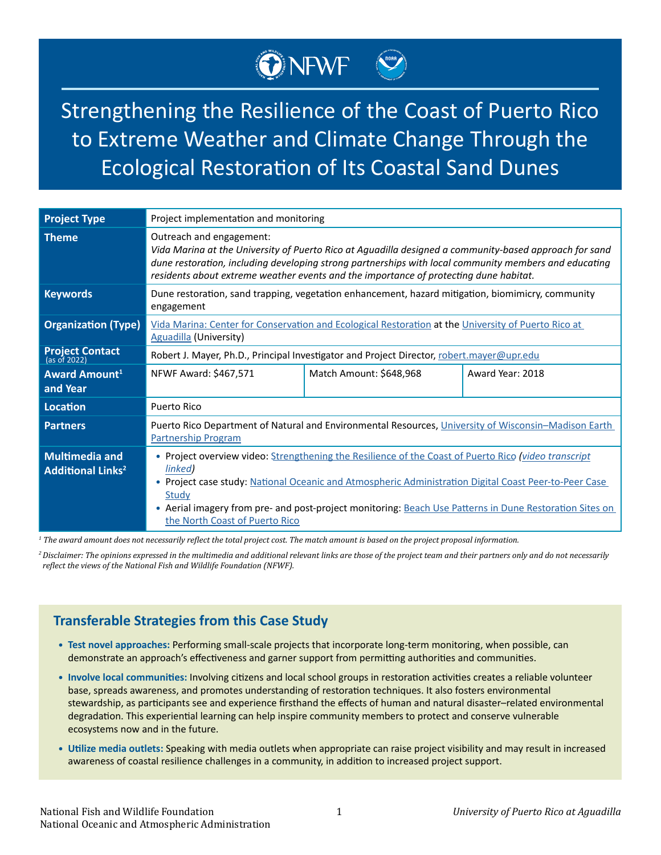# Strengthening the Resilience of the Coast of Puerto Rico to Extreme Weather and Climate Change Through the Ecological Restoration of Its Coastal Sand Dunes

ONEWF

| <b>Project Type</b>                                          | Project implementation and monitoring                                                                                                                                                                                                                                                                                                                                          |                         |                  |
|--------------------------------------------------------------|--------------------------------------------------------------------------------------------------------------------------------------------------------------------------------------------------------------------------------------------------------------------------------------------------------------------------------------------------------------------------------|-------------------------|------------------|
| <b>Theme</b>                                                 | Outreach and engagement:<br>Vida Marina at the University of Puerto Rico at Aguadilla designed a community-based approach for sand<br>dune restoration, including developing strong partnerships with local community members and educating<br>residents about extreme weather events and the importance of protecting dune habitat.                                           |                         |                  |
| <b>Keywords</b>                                              | Dune restoration, sand trapping, vegetation enhancement, hazard mitigation, biomimicry, community<br>engagement                                                                                                                                                                                                                                                                |                         |                  |
| <b>Organization (Type)</b>                                   | Vida Marina: Center for Conservation and Ecological Restoration at the University of Puerto Rico at<br><b>Aguadilla (University)</b>                                                                                                                                                                                                                                           |                         |                  |
| <b>Project Contact</b><br>(as of 2022)                       | Robert J. Mayer, Ph.D., Principal Investigator and Project Director, robert.mayer@upr.edu                                                                                                                                                                                                                                                                                      |                         |                  |
| <b>Award Amount</b> <sup>1</sup><br>and Year                 | NFWF Award: \$467,571                                                                                                                                                                                                                                                                                                                                                          | Match Amount: \$648,968 | Award Year: 2018 |
| <b>Location</b>                                              | Puerto Rico                                                                                                                                                                                                                                                                                                                                                                    |                         |                  |
| <b>Partners</b>                                              | Puerto Rico Department of Natural and Environmental Resources, University of Wisconsin-Madison Earth<br><b>Partnership Program</b>                                                                                                                                                                                                                                             |                         |                  |
| <b>Multimedia and</b><br><b>Additional Links<sup>2</sup></b> | . Project overview video: Strengthening the Resilience of the Coast of Puerto Rico (video transcript<br>linked)<br>. Project case study: National Oceanic and Atmospheric Administration Digital Coast Peer-to-Peer Case<br>Study<br>• Aerial imagery from pre- and post-project monitoring: Beach Use Patterns in Dune Restoration Sites on<br>the North Coast of Puerto Rico |                         |                  |

*1 The award amount does not necessarily reflect the total project cost. The match amount is based on the project proposal information.*

*<sup>2</sup>Disclaimer: The opinions expressed in the multimedia and additional relevant links are those of the project team and their partners only and do not necessarily reflect the views of the National Fish and Wildlife Foundation (NFWF).*

## **Transferable Strategies from this Case Study**

- **• Test novel approaches:** Performing small-scale projects that incorporate long-term monitoring, when possible, can demonstrate an approach's effectiveness and garner support from permitting authorities and communities.
- **• Involve local communities:** Involving citizens and local school groups in restoration activities creates a reliable volunteer base, spreads awareness, and promotes understanding of restoration techniques. It also fosters environmental stewardship, as participants see and experience firsthand the effects of human and natural disaster–related environmental degradation. This experiential learning can help inspire community members to protect and conserve vulnerable ecosystems now and in the future.
- **• Utilize media outlets:** Speaking with media outlets when appropriate can raise project visibility and may result in increased awareness of coastal resilience challenges in a community, in addition to increased project support.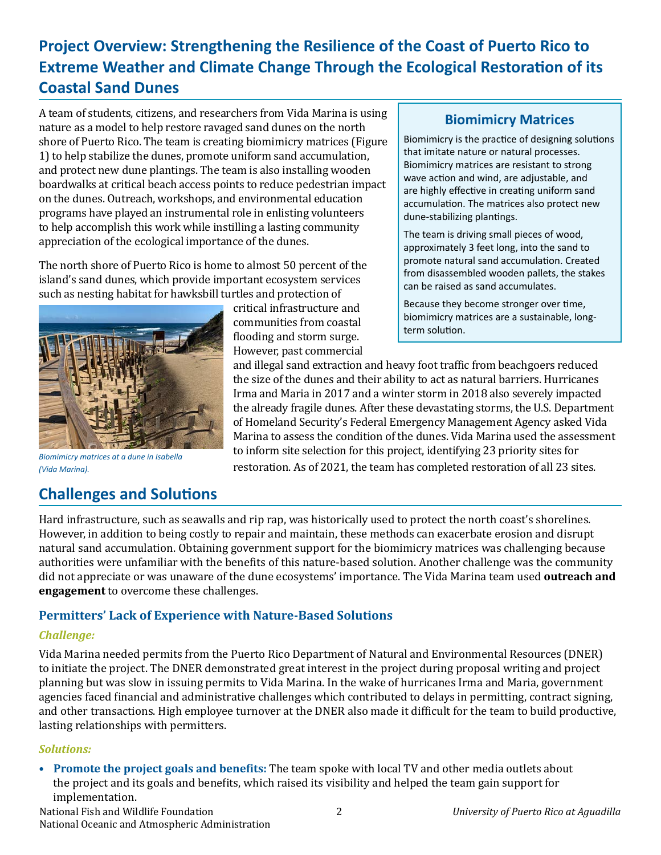# **Project Overview: Strengthening the Resilience of the Coast of Puerto Rico to Extreme Weather and Climate Change Through the Ecological Restoration of its Coastal Sand Dunes**

A team of students, citizens, and researchers from Vida Marina is using nature as a model to help restore ravaged sand dunes on the north shore of Puerto Rico. The team is creating biomimicry matrices (Figure 1) to help stabilize the dunes, promote uniform sand accumulation, and protect new dune plantings. The team is also installing wooden boardwalks at critical beach access points to reduce pedestrian impact on the dunes. Outreach, workshops, and environmental education programs have played an instrumental role in enlisting volunteers to help accomplish this work while instilling a lasting community appreciation of the ecological importance of the dunes.

The north shore of Puerto Rico is home to almost 50 percent of the island's sand dunes, which provide important ecosystem services such as nesting habitat for hawksbill turtles and protection of



### **Biomimicry Matrices**

Biomimicry is the practice of designing solutions that imitate nature or natural processes. Biomimicry matrices are resistant to strong wave action and wind, are adjustable, and are highly effective in creating uniform sand accumulation. The matrices also protect new dune-stabilizing plantings.

The team is driving small pieces of wood, approximately 3 feet long, into the sand to promote natural sand accumulation. Created from disassembled wooden pallets, the stakes can be raised as sand accumulates.

Because they become stronger over time, biomimicry matrices are a sustainable, longterm solution.

and illegal sand extraction and heavy foot traffic from beachgoers reduced the size of the dunes and their ability to act as natural barriers. Hurricanes Irma and Maria in 2017 and a winter storm in 2018 also severely impacted the already fragile dunes. After these devastating storms, the U.S. Department of Homeland Security's Federal Emergency Management Agency asked Vida Marina to assess the condition of the dunes. Vida Marina used the assessment to inform site selection for this project, identifying 23 priority sites for *Biomimicry matrices at a dune in Isabella (Vida Marina).* restoration. As of 2021, the team has completed restoration of all 23 sites.

# **Challenges and Solutions**

Hard infrastructure, such as seawalls and rip rap, was historically used to protect the north coast's shorelines. However, in addition to being costly to repair and maintain, these methods can exacerbate erosion and disrupt natural sand accumulation. Obtaining government support for the biomimicry matrices was challenging because authorities were unfamiliar with the benefits of this nature-based solution. Another challenge was the community did not appreciate or was unaware of the dune ecosystems' importance. The Vida Marina team used **outreach and engagement** to overcome these challenges.

#### **Permitters' Lack of Experience with Nature-Based Solutions**

#### *Challenge:*

Vida Marina needed permits from the Puerto Rico Department of Natural and Environmental Resources (DNER) to initiate the project. The DNER demonstrated great interest in the project during proposal writing and project planning but was slow in issuing permits to Vida Marina. In the wake of hurricanes Irma and Maria, government agencies faced financial and administrative challenges which contributed to delays in permitting, contract signing, and other transactions. High employee turnover at the DNER also made it difficult for the team to build productive, lasting relationships with permitters.

#### *Solutions:*

**• Promote the project goals and benefits:** The team spoke with local TV and other media outlets about the project and its goals and benefits, which raised its visibility and helped the team gain support for implementation.